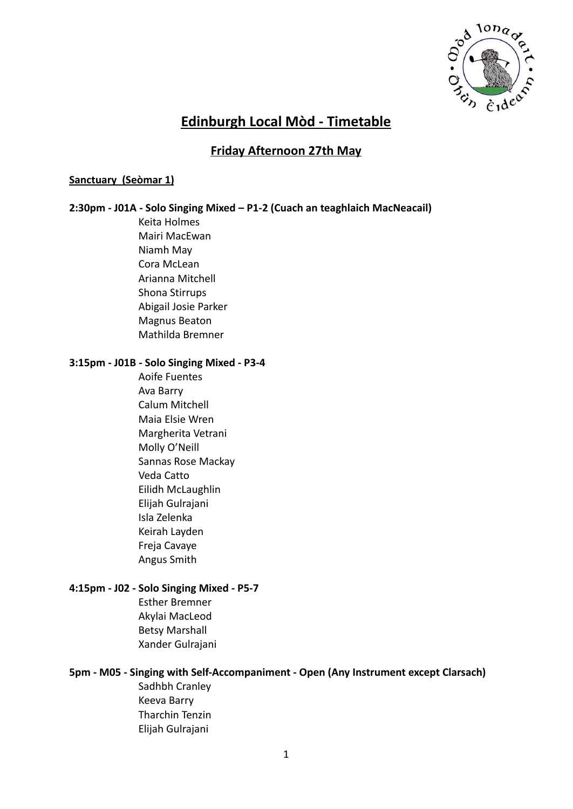

# **Edinburgh Local Mòd - Timetable**

# **Friday Afternoon 27th May**

### **Sanctuary (Seòmar 1)**

### **2:30pm - J01A - Solo Singing Mixed – P1-2 (Cuach an teaghlaich MacNeacail)**

Keita Holmes Mairi MacEwan Niamh May Cora McLean Arianna Mitchell Shona Stirrups Abigail Josie Parker Magnus Beaton Mathilda Bremner

#### **3:15pm - J01B - Solo Singing Mixed - P3-4**

Aoife Fuentes Ava Barry Calum Mitchell Maia Elsie Wren Margherita Vetrani Molly O'Neill Sannas Rose Mackay Veda Catto Eilidh McLaughlin Elijah Gulrajani Isla Zelenka Keirah Layden Freja Cavaye Angus Smith

#### **4:15pm - J02 - Solo Singing Mixed - P5-7**

Esther Bremner Akylai MacLeod Betsy Marshall Xander Gulrajani

### **5pm - M05 - Singing with Self-Accompaniment - Open (Any Instrument except Clarsach)**

Sadhbh Cranley Keeva Barry Tharchin Tenzin Elijah Gulrajani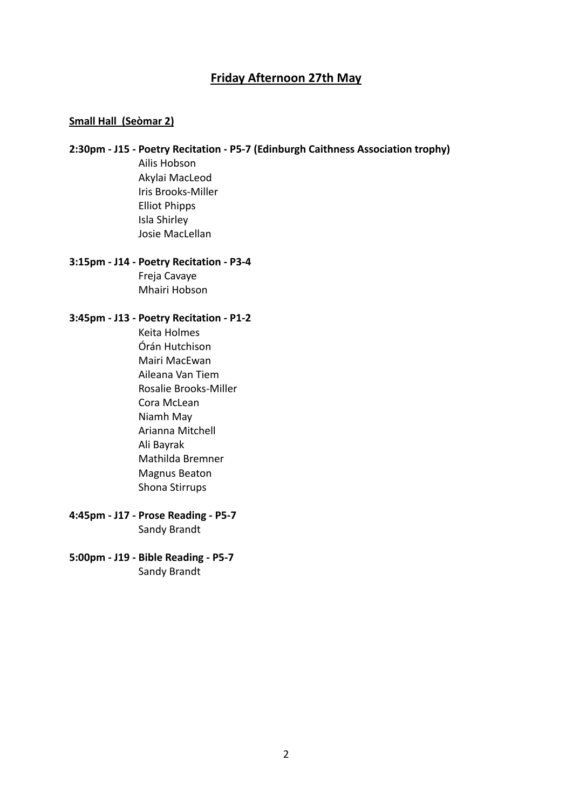# **Friday Afternoon 27th May**

### **Small Hall (Seòmar 2)**

## **2:30pm - J15 - Poetry Recitation - P5-7 (Edinburgh Caithness Association trophy)**

Ailis Hobson Akylai MacLeod Iris Brooks-Miller Elliot Phipps Isla Shirley Josie MacLellan

# **3:15pm - J14 - Poetry Recitation - P3-4** Freja Cavaye

Mhairi Hobson

### **3:45pm - J13 - Poetry Recitation - P1-2**

Keita Holmes Órán Hutchison Mairi MacEwan Aileana Van Tiem Rosalie Brooks-Miller Cora McLean Niamh May Arianna Mitchell Ali Bayrak Mathilda Bremner Magnus Beaton Shona Stirrups

- **4:45pm J17 Prose Reading P5-7** Sandy Brandt
- **5:00pm J19 Bible Reading P5-7** Sandy Brandt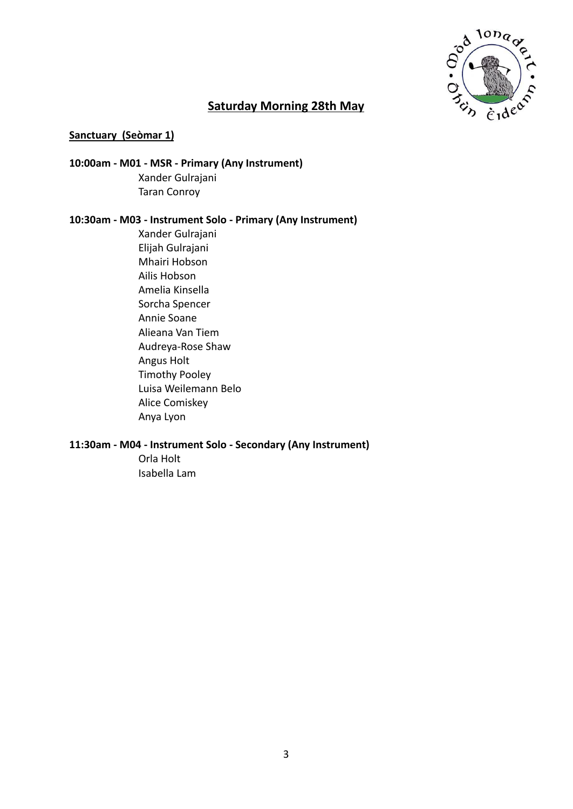

# **Saturday Morning 28th May**

### **Sanctuary (Seòmar 1)**

# **10:00am - M01 - MSR - Primary (Any Instrument)** Xander Gulrajani Taran Conroy

### **10:30am - M03 - Instrument Solo - Primary (Any Instrument)**

Xander Gulrajani Elijah Gulrajani Mhairi Hobson Ailis Hobson Amelia Kinsella Sorcha Spencer Annie Soane Alieana Van Tiem Audreya-Rose Shaw Angus Holt Timothy Pooley Luisa Weilemann Belo Alice Comiskey Anya Lyon

#### **11:30am - M04 - Instrument Solo - Secondary (Any Instrument)** Orla Holt

Isabella Lam